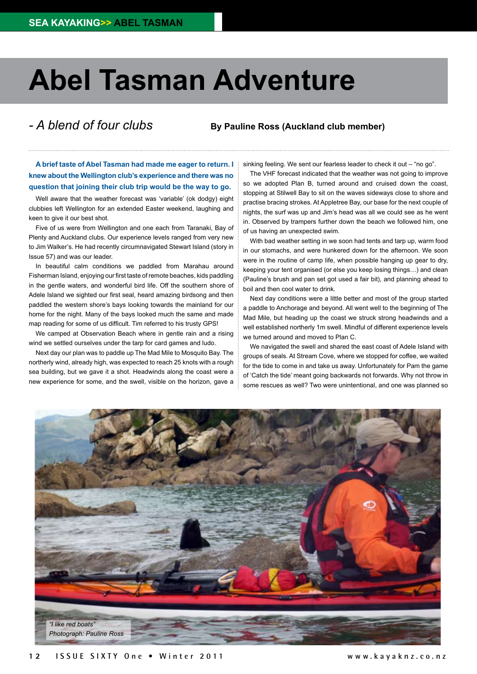## **Abel Tasman Adventure**

## *- A blend of four clubs*

## **By Pauline Ross (Auckland club member)**

**A brief taste of Abel Tasman had made me eager to return. I knew about the Wellington club's experience and there was no question that joining their club trip would be the way to go.** 

Well aware that the weather forecast was 'variable' (ok dodgy) eight clubbies left Wellington for an extended Easter weekend, laughing and keen to give it our best shot.

Five of us were from Wellington and one each from Taranaki, Bay of Plenty and Auckland clubs. Our experience levels ranged from very new to Jim Walker's. He had recently circumnavigated Stewart Island (story in Issue 57) and was our leader.

In beautiful calm conditions we paddled from Marahau around Fisherman Island, enjoying our first taste of remote beaches, kids paddling in the gentle waters, and wonderful bird life. Off the southern shore of Adele Island we sighted our first seal, heard amazing birdsong and then paddled the western shore's bays looking towards the mainland for our home for the night. Many of the bays looked much the same and made map reading for some of us difficult. Tim referred to his trusty GPS!

We camped at Observation Beach where in gentle rain and a rising wind we settled ourselves under the tarp for card games and ludo.

Next day our plan was to paddle up The Mad Mile to Mosquito Bay. The northerly wind, already high, was expected to reach 25 knots with a rough sea building, but we gave it a shot. Headwinds along the coast were a new experience for some, and the swell, visible on the horizon, gave a

sinking feeling. We sent our fearless leader to check it out – "no go".

The VHF forecast indicated that the weather was not going to improve so we adopted Plan B, turned around and cruised down the coast, stopping at Stilwell Bay to sit on the waves sideways close to shore and practise bracing strokes. At Appletree Bay, our base for the next couple of nights, the surf was up and Jim's head was all we could see as he went in. Observed by trampers further down the beach we followed him, one of us having an unexpected swim.

With bad weather setting in we soon had tents and tarp up, warm food in our stomachs, and were hunkered down for the afternoon. We soon were in the routine of camp life, when possible hanging up gear to dry, keeping your tent organised (or else you keep losing things…) and clean (Pauline's brush and pan set got used a fair bit), and planning ahead to boil and then cool water to drink.

Next day conditions were a little better and most of the group started a paddle to Anchorage and beyond. All went well to the beginning of The Mad Mile, but heading up the coast we struck strong headwinds and a well established northerly 1m swell. Mindful of different experience levels we turned around and moved to Plan C.

We navigated the swell and shared the east coast of Adele Island with groups of seals. At Stream Cove, where we stopped for coffee, we waited for the tide to come in and take us away. Unfortunately for Pam the game of 'Catch the tide' meant going backwards not forwards. Why not throw in some rescues as well? Two were unintentional, and one was planned so